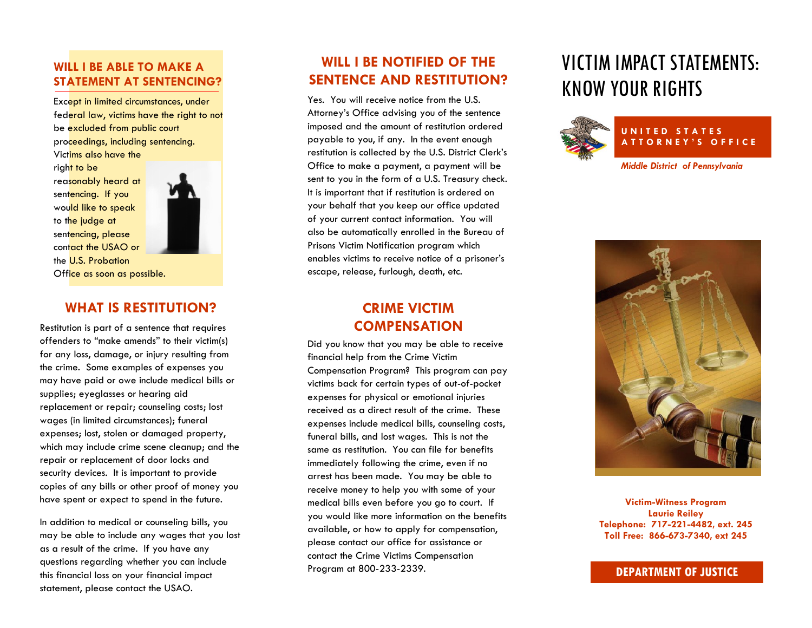#### **WILL I BE ABLE TO MAKE A STATEMENT AT SENTENCING?**

Except in limited circumstances, under federal law, victims have the right to not be excluded from public court proceedings, including sentencing. Victims also have the

right to be reasonably heard at sentencing. If you would like to speak to the judge at sentencing, please contact the USAO or the U.S. Probation Office as soon as possible.



#### **WHAT IS RESTITUTION?**

Restitution is part of a sentence that requires offenders to "make amends" to their victim(s) for any loss, damage, or injury resulting from the crime. Some examples of expenses you may have paid or owe include medical bills or supplies; eyeglasses or hearing aid replacement or repair; counseling costs; lost wages (in limited circumstances); funeral expenses; lost, stolen or damaged property, which may include crime scene cleanup; and the repair or replacement of door locks and security devices. It is important to provide copies of any bills or other proof of money you have spent or expect to spend in the future.

In addition to medical or counseling bills, you may be able to include any wages that you lost as a result of the crime. If you have any questions regarding whether you can include this financial loss on your financial impact statement, please contact the USAO.

# **WILL I BE NOTIFIED OF THE SENTENCE AND RESTITUTION?**

Yes. You will receive notice from the U.S. Attorney's Office advising you of the sentence imposed and the amount of restitution ordered payable to you, if any. In the event enough restitution is collected by the U.S. District Clerk's Office to make a payment, a payment will be sent to you in the form of a U.S. Treasury check. It is important that if restitution is ordered on your behalf that you keep our office updated of your current contact information. You will also be automatically enrolled in the Bureau of Prisons Victim Notification program which enables victims to receive notice of a prisoner's escape, release, furlough, death, etc.

## **CRIME VICTIM COMPENSATION**

Did you know that you may be able to receive financial help from the Crime Victim Compensation Program? This program can pay victims back for certain types of out-of-pocket expenses for physical or emotional injuries received as a direct result of the crime. These expenses include medical bills, counseling costs, funeral bills, and lost wages. This is not the same as restitution. You can file for benefits immediately following the crime, even if no arrest has been made. You may be able to receive money to help you with some of your medical bills even before you go to court. If you would like more information on the benefits available, or how to apply for compensation, please contact our office for assistance or contact the Crime Victims Compensation Program at 800-233-2339.

# VICTIM IMPACT STATEMENTS: KNOW YOUR RIGHTS





**Victim-Witness Program Laurie Reiley Telephone: 717-221-4482, ext. 245 Toll Free: 866-673-7340, ext 245**

#### **DEPARTMENT OF JUSTICE**